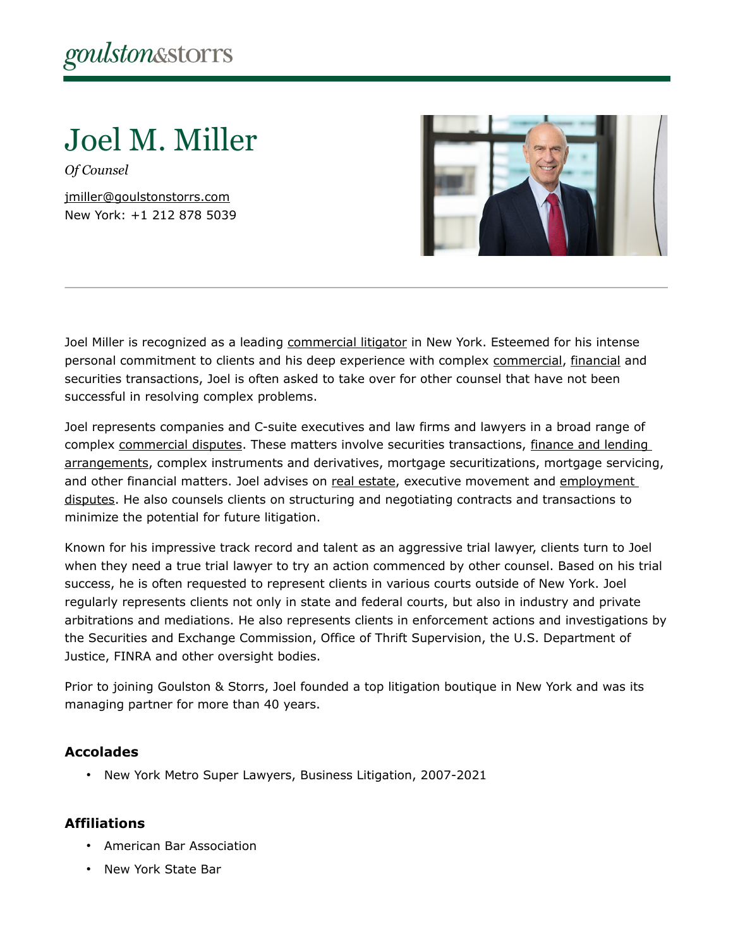Joel M. Miller

*Of Counsel*

[jmiller@goulstonstorrs.com](mailto:jmiller@goulstonstorrs.com) New York: +1 212 878 5039



Joel Miller is recognized as a leading [commercial litigator](https://www.goulstonstorrs.com/business-commercial-litigation/) in New York. Esteemed for his intense personal commitment to clients and his deep experience with complex [commercial,](https://www.goulstonstorrs.com/business-commercial-litigation/) [financial](https://www.goulstonstorrs.com/real-estate-banking-finance/) and securities transactions, Joel is often asked to take over for other counsel that have not been successful in resolving complex problems.

Joel represents companies and C-suite executives and law firms and lawyers in a broad range of complex [commercial disputes.](https://www.goulstonstorrs.com/business-commercial-litigation/) These matters involve securities transactions, finance and lending [arrangements,](https://www.goulstonstorrs.com/real-estate-banking-finance/) complex instruments and derivatives, mortgage securitizations, mortgage servicing, and other financial matters. Joel advises on [real estate,](https://www.goulstonstorrs.com/real-estate-litigation/) executive movement and [employment](https://www.goulstonstorrs.com/employment-litigation/)  [disputes.](https://www.goulstonstorrs.com/employment-litigation/) He also counsels clients on structuring and negotiating contracts and transactions to minimize the potential for future litigation.

Known for his impressive track record and talent as an aggressive trial lawyer, clients turn to Joel when they need a true trial lawyer to try an action commenced by other counsel. Based on his trial success, he is often requested to represent clients in various courts outside of New York. Joel regularly represents clients not only in state and federal courts, but also in industry and private arbitrations and mediations. He also represents clients in enforcement actions and investigations by the Securities and Exchange Commission, Office of Thrift Supervision, the U.S. Department of Justice, FINRA and other oversight bodies.

Prior to joining Goulston & Storrs, Joel founded a top litigation boutique in New York and was its managing partner for more than 40 years.

## **Accolades**

• New York Metro Super Lawyers, Business Litigation, 2007-2021

## **Affiliations**

- American Bar Association
- New York State Bar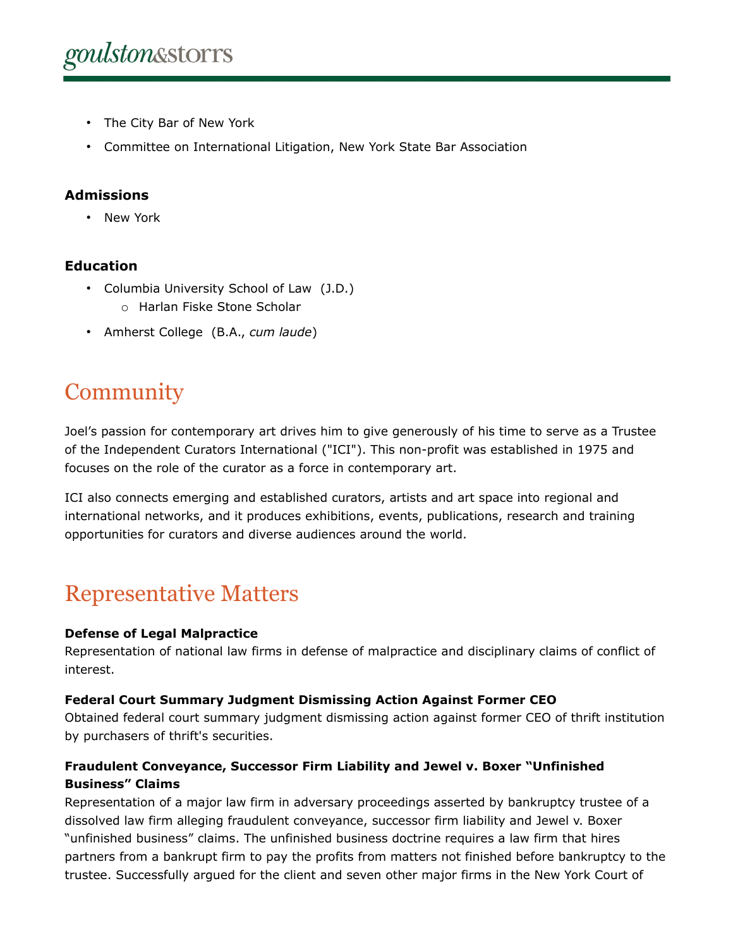- The City Bar of New York
- Committee on International Litigation, New York State Bar Association

## **Admissions**

• New York

## **Education**

- Columbia University School of Law (J.D.)
	- o Harlan Fiske Stone Scholar
- Amherst College (B.A., *cum laude*)

# **Community**

Joel's passion for contemporary art drives him to give generously of his time to serve as a Trustee of the Independent Curators International ("ICI"). This non-profit was established in 1975 and focuses on the role of the curator as a force in contemporary art.

ICI also connects emerging and established curators, artists and art space into regional and international networks, and it produces exhibitions, events, publications, research and training opportunities for curators and diverse audiences around the world.

# Representative Matters

## **Defense of Legal Malpractice**

Representation of national law firms in defense of malpractice and disciplinary claims of conflict of interest.

## **Federal Court Summary Judgment Dismissing Action Against Former CEO**

Obtained federal court summary judgment dismissing action against former CEO of thrift institution by purchasers of thrift's securities.

## **Fraudulent Conveyance, Successor Firm Liability and Jewel v. Boxer "Unfinished Business" Claims**

Representation of a major law firm in adversary proceedings asserted by bankruptcy trustee of a dissolved law firm alleging fraudulent conveyance, successor firm liability and Jewel v. Boxer "unfinished business" claims. The unfinished business doctrine requires a law firm that hires partners from a bankrupt firm to pay the profits from matters not finished before bankruptcy to the trustee. Successfully argued for the client and seven other major firms in the New York Court of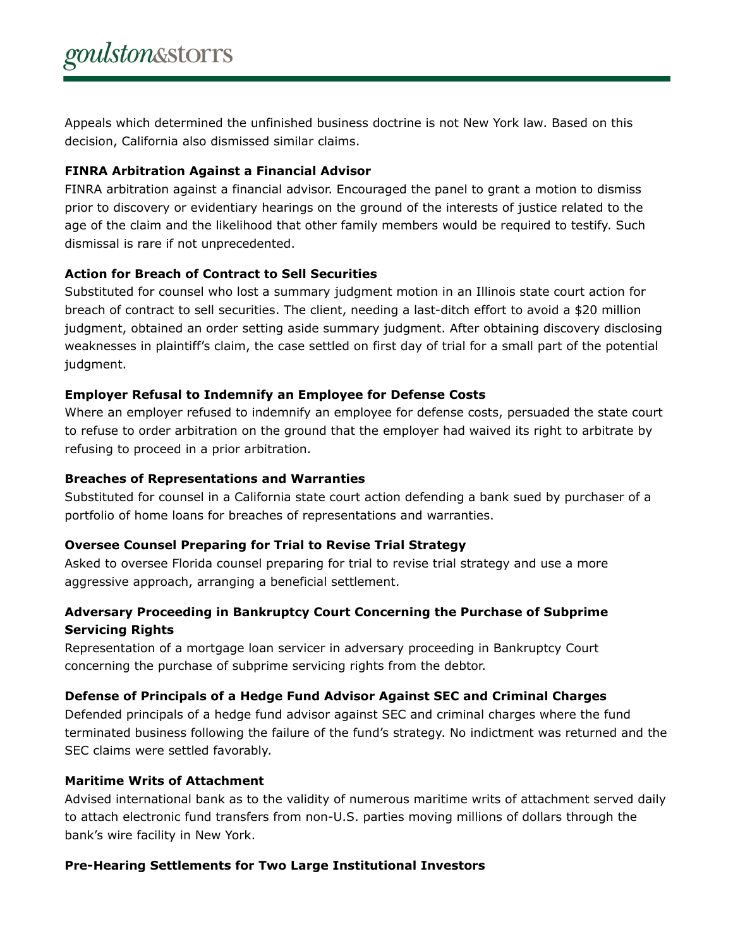Appeals which determined the unfinished business doctrine is not New York law. Based on this decision, California also dismissed similar claims.

#### **FINRA Arbitration Against a Financial Advisor**

FINRA arbitration against a financial advisor. Encouraged the panel to grant a motion to dismiss prior to discovery or evidentiary hearings on the ground of the interests of justice related to the age of the claim and the likelihood that other family members would be required to testify. Such dismissal is rare if not unprecedented.

#### **Action for Breach of Contract to Sell Securities**

Substituted for counsel who lost a summary judgment motion in an Illinois state court action for breach of contract to sell securities. The client, needing a last-ditch effort to avoid a \$20 million judgment, obtained an order setting aside summary judgment. After obtaining discovery disclosing weaknesses in plaintiff's claim, the case settled on first day of trial for a small part of the potential judgment.

#### **Employer Refusal to Indemnify an Employee for Defense Costs**

Where an employer refused to indemnify an employee for defense costs, persuaded the state court to refuse to order arbitration on the ground that the employer had waived its right to arbitrate by refusing to proceed in a prior arbitration.

#### **Breaches of Representations and Warranties**

Substituted for counsel in a California state court action defending a bank sued by purchaser of a portfolio of home loans for breaches of representations and warranties.

#### **Oversee Counsel Preparing for Trial to Revise Trial Strategy**

Asked to oversee Florida counsel preparing for trial to revise trial strategy and use a more aggressive approach, arranging a beneficial settlement.

## **Adversary Proceeding in Bankruptcy Court Concerning the Purchase of Subprime Servicing Rights**

Representation of a mortgage loan servicer in adversary proceeding in Bankruptcy Court concerning the purchase of subprime servicing rights from the debtor.

#### **Defense of Principals of a Hedge Fund Advisor Against SEC and Criminal Charges**

Defended principals of a hedge fund advisor against SEC and criminal charges where the fund terminated business following the failure of the fund's strategy. No indictment was returned and the SEC claims were settled favorably.

#### **Maritime Writs of Attachment**

Advised international bank as to the validity of numerous maritime writs of attachment served daily to attach electronic fund transfers from non-U.S. parties moving millions of dollars through the bank's wire facility in New York.

#### **Pre-Hearing Settlements for Two Large Institutional Investors**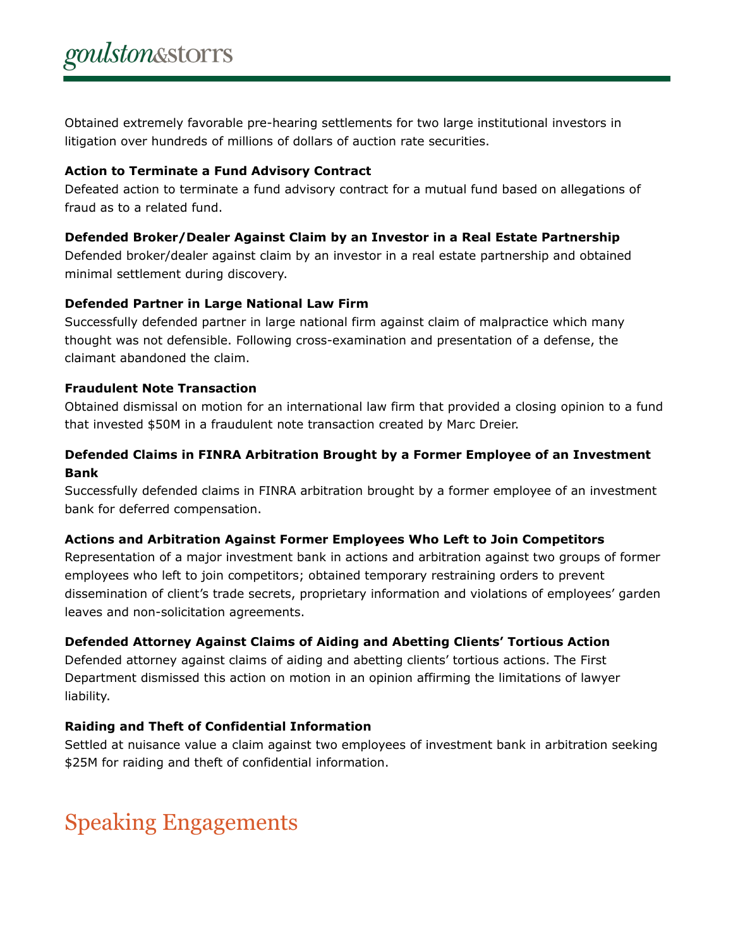Obtained extremely favorable pre-hearing settlements for two large institutional investors in litigation over hundreds of millions of dollars of auction rate securities.

#### **Action to Terminate a Fund Advisory Contract**

Defeated action to terminate a fund advisory contract for a mutual fund based on allegations of fraud as to a related fund.

#### **Defended Broker/Dealer Against Claim by an Investor in a Real Estate Partnership**

Defended broker/dealer against claim by an investor in a real estate partnership and obtained minimal settlement during discovery.

## **Defended Partner in Large National Law Firm**

Successfully defended partner in large national firm against claim of malpractice which many thought was not defensible. Following cross-examination and presentation of a defense, the claimant abandoned the claim.

#### **Fraudulent Note Transaction**

Obtained dismissal on motion for an international law firm that provided a closing opinion to a fund that invested \$50M in a fraudulent note transaction created by Marc Dreier.

## **Defended Claims in FINRA Arbitration Brought by a Former Employee of an Investment Bank**

Successfully defended claims in FINRA arbitration brought by a former employee of an investment bank for deferred compensation.

## **Actions and Arbitration Against Former Employees Who Left to Join Competitors**

Representation of a major investment bank in actions and arbitration against two groups of former employees who left to join competitors; obtained temporary restraining orders to prevent dissemination of client's trade secrets, proprietary information and violations of employees' garden leaves and non-solicitation agreements.

## **Defended Attorney Against Claims of Aiding and Abetting Clients' Tortious Action**

Defended attorney against claims of aiding and abetting clients' tortious actions. The First Department dismissed this action on motion in an opinion affirming the limitations of lawyer liability.

## **Raiding and Theft of Confidential Information**

Settled at nuisance value a claim against two employees of investment bank in arbitration seeking \$25M for raiding and theft of confidential information.

# Speaking Engagements